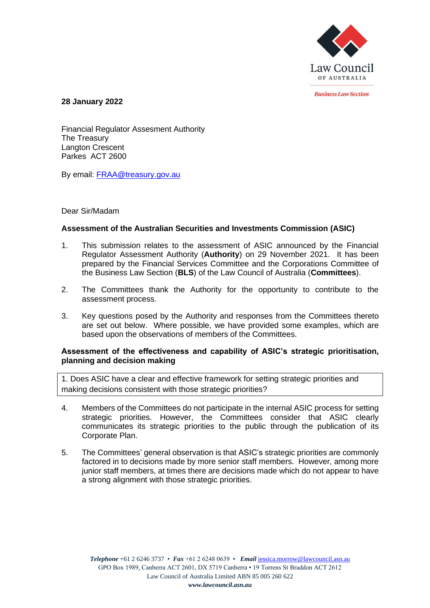

*<u>Rusiness Law Section</u>* 

**28 January 2022**

Financial Regulator Assesment Authority The Treasury Langton Crescent Parkes ACT 2600

By email: [FRAA@treasury.gov.au](mailto:FRAA@treasury.gov.au)

# Dear Sir/Madam

# **Assessment of the Australian Securities and Investments Commission (ASIC)**

- 1. This submission relates to the assessment of ASIC announced by the Financial Regulator Assessment Authority (**Authority**) on 29 November 2021. It has been prepared by the Financial Services Committee and the Corporations Committee of the Business Law Section (**BLS**) of the Law Council of Australia (**Committees**).
- 2. The Committees thank the Authority for the opportunity to contribute to the assessment process.
- 3. Key questions posed by the Authority and responses from the Committees thereto are set out below. Where possible, we have provided some examples, which are based upon the observations of members of the Committees.

# **Assessment of the effectiveness and capability of ASIC's strategic prioritisation, planning and decision making**

1. Does ASIC have a clear and effective framework for setting strategic priorities and making decisions consistent with those strategic priorities?

- 4. Members of the Committees do not participate in the internal ASIC process for setting strategic priorities. However, the Committees consider that ASIC clearly communicates its strategic priorities to the public through the publication of its Corporate Plan.
- 5. The Committees' general observation is that ASIC's strategic priorities are commonly factored in to decisions made by more senior staff members. However, among more junior staff members, at times there are decisions made which do not appear to have a strong alignment with those strategic priorities.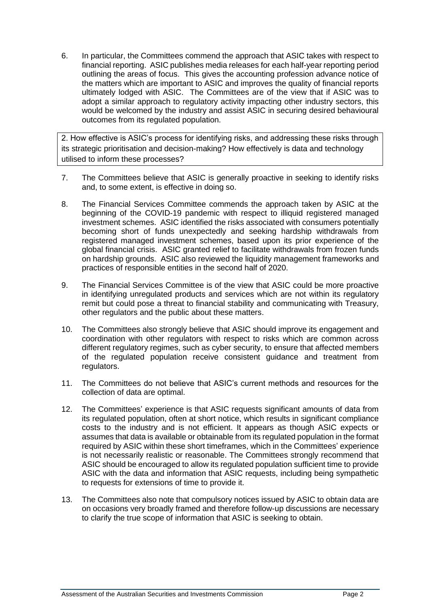6. In particular, the Committees commend the approach that ASIC takes with respect to financial reporting. ASIC publishes media releases for each half-year reporting period outlining the areas of focus. This gives the accounting profession advance notice of the matters which are important to ASIC and improves the quality of financial reports ultimately lodged with ASIC. The Committees are of the view that if ASIC was to adopt a similar approach to regulatory activity impacting other industry sectors, this would be welcomed by the industry and assist ASIC in securing desired behavioural outcomes from its regulated population.

2. How effective is ASIC's process for identifying risks, and addressing these risks through its strategic prioritisation and decision-making? How effectively is data and technology utilised to inform these processes?

- 7. The Committees believe that ASIC is generally proactive in seeking to identify risks and, to some extent, is effective in doing so.
- 8. The Financial Services Committee commends the approach taken by ASIC at the beginning of the COVID-19 pandemic with respect to illiquid registered managed investment schemes. ASIC identified the risks associated with consumers potentially becoming short of funds unexpectedly and seeking hardship withdrawals from registered managed investment schemes, based upon its prior experience of the global financial crisis. ASIC granted relief to facilitate withdrawals from frozen funds on hardship grounds. ASIC also reviewed the liquidity management frameworks and practices of responsible entities in the second half of 2020.
- 9. The Financial Services Committee is of the view that ASIC could be more proactive in identifying unregulated products and services which are not within its regulatory remit but could pose a threat to financial stability and communicating with Treasury, other regulators and the public about these matters.
- 10. The Committees also strongly believe that ASIC should improve its engagement and coordination with other regulators with respect to risks which are common across different regulatory regimes, such as cyber security, to ensure that affected members of the regulated population receive consistent guidance and treatment from regulators.
- 11. The Committees do not believe that ASIC's current methods and resources for the collection of data are optimal.
- 12. The Committees' experience is that ASIC requests significant amounts of data from its regulated population, often at short notice, which results in significant compliance costs to the industry and is not efficient. It appears as though ASIC expects or assumes that data is available or obtainable from its regulated population in the format required by ASIC within these short timeframes, which in the Committees' experience is not necessarily realistic or reasonable. The Committees strongly recommend that ASIC should be encouraged to allow its regulated population sufficient time to provide ASIC with the data and information that ASIC requests, including being sympathetic to requests for extensions of time to provide it.
- 13. The Committees also note that compulsory notices issued by ASIC to obtain data are on occasions very broadly framed and therefore follow-up discussions are necessary to clarify the true scope of information that ASIC is seeking to obtain.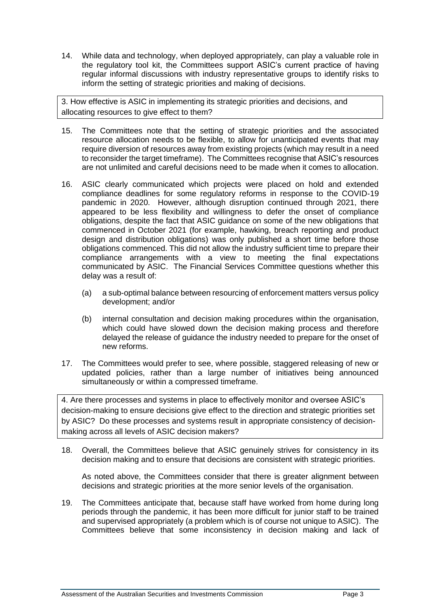14. While data and technology, when deployed appropriately, can play a valuable role in the regulatory tool kit, the Committees support ASIC's current practice of having regular informal discussions with industry representative groups to identify risks to inform the setting of strategic priorities and making of decisions.

3. How effective is ASIC in implementing its strategic priorities and decisions, and allocating resources to give effect to them?

- 15. The Committees note that the setting of strategic priorities and the associated resource allocation needs to be flexible, to allow for unanticipated events that may require diversion of resources away from existing projects (which may result in a need to reconsider the target timeframe). The Committees recognise that ASIC's resources are not unlimited and careful decisions need to be made when it comes to allocation.
- 16. ASIC clearly communicated which projects were placed on hold and extended compliance deadlines for some regulatory reforms in response to the COVID-19 pandemic in 2020. However, although disruption continued through 2021, there appeared to be less flexibility and willingness to defer the onset of compliance obligations, despite the fact that ASIC guidance on some of the new obligations that commenced in October 2021 (for example, hawking, breach reporting and product design and distribution obligations) was only published a short time before those obligations commenced. This did not allow the industry sufficient time to prepare their compliance arrangements with a view to meeting the final expectations communicated by ASIC. The Financial Services Committee questions whether this delay was a result of:
	- (a) a sub-optimal balance between resourcing of enforcement matters versus policy development; and/or
	- (b) internal consultation and decision making procedures within the organisation, which could have slowed down the decision making process and therefore delayed the release of guidance the industry needed to prepare for the onset of new reforms.
- 17. The Committees would prefer to see, where possible, staggered releasing of new or updated policies, rather than a large number of initiatives being announced simultaneously or within a compressed timeframe.

4. Are there processes and systems in place to effectively monitor and oversee ASIC's decision-making to ensure decisions give effect to the direction and strategic priorities set by ASIC? Do these processes and systems result in appropriate consistency of decisionmaking across all levels of ASIC decision makers?

18. Overall, the Committees believe that ASIC genuinely strives for consistency in its decision making and to ensure that decisions are consistent with strategic priorities.

As noted above, the Committees consider that there is greater alignment between decisions and strategic priorities at the more senior levels of the organisation.

19. The Committees anticipate that, because staff have worked from home during long periods through the pandemic, it has been more difficult for junior staff to be trained and supervised appropriately (a problem which is of course not unique to ASIC). The Committees believe that some inconsistency in decision making and lack of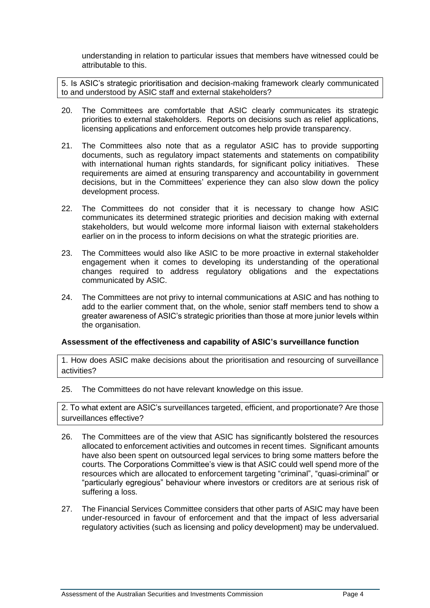understanding in relation to particular issues that members have witnessed could be attributable to this.

5. Is ASIC's strategic prioritisation and decision-making framework clearly communicated to and understood by ASIC staff and external stakeholders?

- 20. The Committees are comfortable that ASIC clearly communicates its strategic priorities to external stakeholders. Reports on decisions such as relief applications, licensing applications and enforcement outcomes help provide transparency.
- 21. The Committees also note that as a regulator ASIC has to provide supporting documents, such as regulatory impact statements and statements on compatibility with international human rights standards, for significant policy initiatives. These requirements are aimed at ensuring transparency and accountability in government decisions, but in the Committees' experience they can also slow down the policy development process.
- 22. The Committees do not consider that it is necessary to change how ASIC communicates its determined strategic priorities and decision making with external stakeholders, but would welcome more informal liaison with external stakeholders earlier on in the process to inform decisions on what the strategic priorities are.
- 23. The Committees would also like ASIC to be more proactive in external stakeholder engagement when it comes to developing its understanding of the operational changes required to address regulatory obligations and the expectations communicated by ASIC.
- 24. The Committees are not privy to internal communications at ASIC and has nothing to add to the earlier comment that, on the whole, senior staff members tend to show a greater awareness of ASIC's strategic priorities than those at more junior levels within the organisation.

# **Assessment of the effectiveness and capability of ASIC's surveillance function**

1. How does ASIC make decisions about the prioritisation and resourcing of surveillance activities?

25. The Committees do not have relevant knowledge on this issue.

2. To what extent are ASIC's surveillances targeted, efficient, and proportionate? Are those surveillances effective?

- 26. The Committees are of the view that ASIC has significantly bolstered the resources allocated to enforcement activities and outcomes in recent times. Significant amounts have also been spent on outsourced legal services to bring some matters before the courts. The Corporations Committee's view is that ASIC could well spend more of the resources which are allocated to enforcement targeting "criminal", "quasi-criminal" or "particularly egregious" behaviour where investors or creditors are at serious risk of suffering a loss.
- 27. The Financial Services Committee considers that other parts of ASIC may have been under-resourced in favour of enforcement and that the impact of less adversarial regulatory activities (such as licensing and policy development) may be undervalued.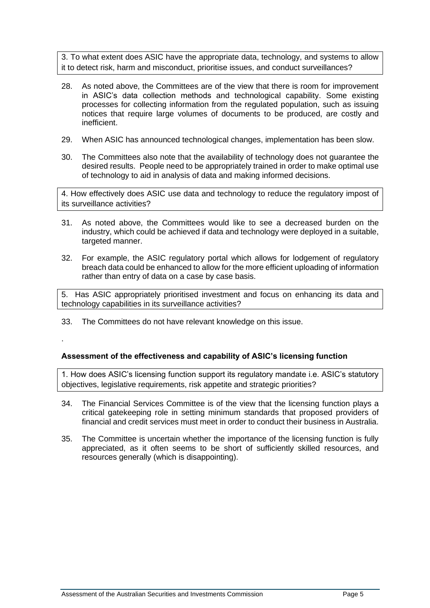3. To what extent does ASIC have the appropriate data, technology, and systems to allow it to detect risk, harm and misconduct, prioritise issues, and conduct surveillances?

- 28. As noted above, the Committees are of the view that there is room for improvement in ASIC's data collection methods and technological capability. Some existing processes for collecting information from the regulated population, such as issuing notices that require large volumes of documents to be produced, are costly and inefficient.
- 29. When ASIC has announced technological changes, implementation has been slow.
- 30. The Committees also note that the availability of technology does not guarantee the desired results. People need to be appropriately trained in order to make optimal use of technology to aid in analysis of data and making informed decisions.

4. How effectively does ASIC use data and technology to reduce the regulatory impost of its surveillance activities?

- 31. As noted above, the Committees would like to see a decreased burden on the industry, which could be achieved if data and technology were deployed in a suitable, targeted manner.
- 32. For example, the ASIC regulatory portal which allows for lodgement of regulatory breach data could be enhanced to allow for the more efficient uploading of information rather than entry of data on a case by case basis.

5. Has ASIC appropriately prioritised investment and focus on enhancing its data and technology capabilities in its surveillance activities?

- 33. The Committees do not have relevant knowledge on this issue.
- .

# **Assessment of the effectiveness and capability of ASIC's licensing function**

1. How does ASIC's licensing function support its regulatory mandate i.e. ASIC's statutory objectives, legislative requirements, risk appetite and strategic priorities?

- 34. The Financial Services Committee is of the view that the licensing function plays a critical gatekeeping role in setting minimum standards that proposed providers of financial and credit services must meet in order to conduct their business in Australia.
- 35. The Committee is uncertain whether the importance of the licensing function is fully appreciated, as it often seems to be short of sufficiently skilled resources, and resources generally (which is disappointing).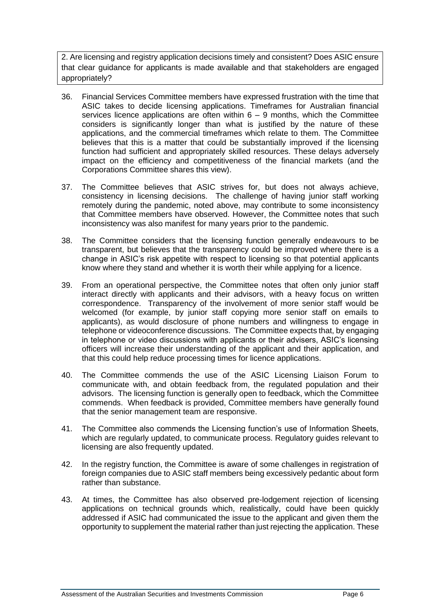2. Are licensing and registry application decisions timely and consistent? Does ASIC ensure that clear guidance for applicants is made available and that stakeholders are engaged appropriately?

- 36. Financial Services Committee members have expressed frustration with the time that ASIC takes to decide licensing applications. Timeframes for Australian financial services licence applications are often within  $6 - 9$  months, which the Committee considers is significantly longer than what is justified by the nature of these applications, and the commercial timeframes which relate to them. The Committee believes that this is a matter that could be substantially improved if the licensing function had sufficient and appropriately skilled resources. These delays adversely impact on the efficiency and competitiveness of the financial markets (and the Corporations Committee shares this view).
- 37. The Committee believes that ASIC strives for, but does not always achieve, consistency in licensing decisions. The challenge of having junior staff working remotely during the pandemic, noted above, may contribute to some inconsistency that Committee members have observed. However, the Committee notes that such inconsistency was also manifest for many years prior to the pandemic.
- 38. The Committee considers that the licensing function generally endeavours to be transparent, but believes that the transparency could be improved where there is a change in ASIC's risk appetite with respect to licensing so that potential applicants know where they stand and whether it is worth their while applying for a licence.
- 39. From an operational perspective, the Committee notes that often only junior staff interact directly with applicants and their advisors, with a heavy focus on written correspondence. Transparency of the involvement of more senior staff would be welcomed (for example, by junior staff copying more senior staff on emails to applicants), as would disclosure of phone numbers and willingness to engage in telephone or videoconference discussions. The Committee expects that, by engaging in telephone or video discussions with applicants or their advisers, ASIC's licensing officers will increase their understanding of the applicant and their application, and that this could help reduce processing times for licence applications.
- 40. The Committee commends the use of the ASIC Licensing Liaison Forum to communicate with, and obtain feedback from, the regulated population and their advisors. The licensing function is generally open to feedback, which the Committee commends. When feedback is provided, Committee members have generally found that the senior management team are responsive.
- 41. The Committee also commends the Licensing function's use of Information Sheets, which are regularly updated, to communicate process. Regulatory guides relevant to licensing are also frequently updated.
- 42. In the registry function, the Committee is aware of some challenges in registration of foreign companies due to ASIC staff members being excessively pedantic about form rather than substance.
- 43. At times, the Committee has also observed pre-lodgement rejection of licensing applications on technical grounds which, realistically, could have been quickly addressed if ASIC had communicated the issue to the applicant and given them the opportunity to supplement the material rather than just rejecting the application. These